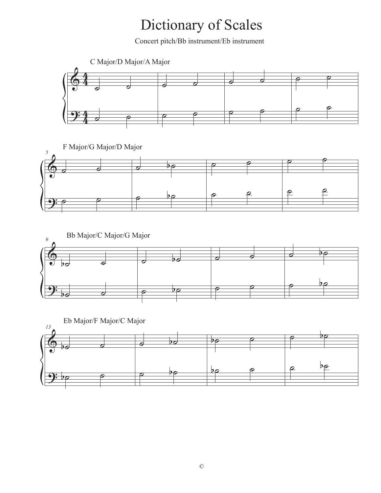Concert pitch/Bb instrument/Eb instrument







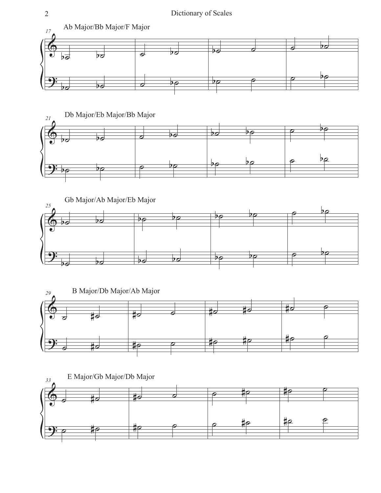







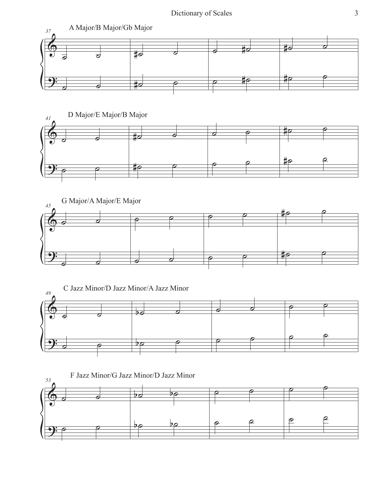







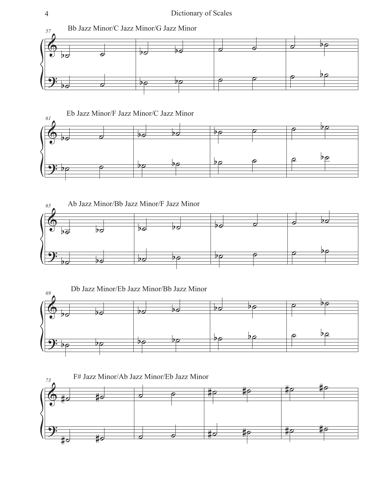







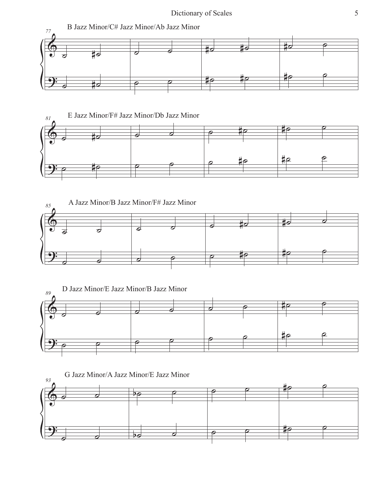







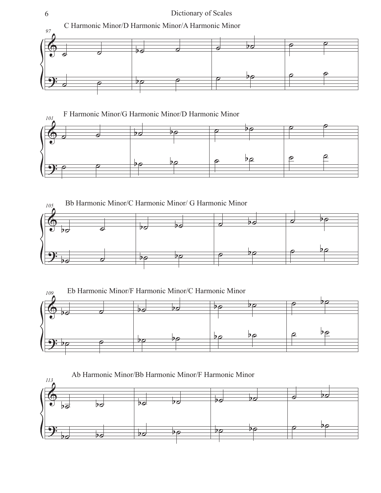







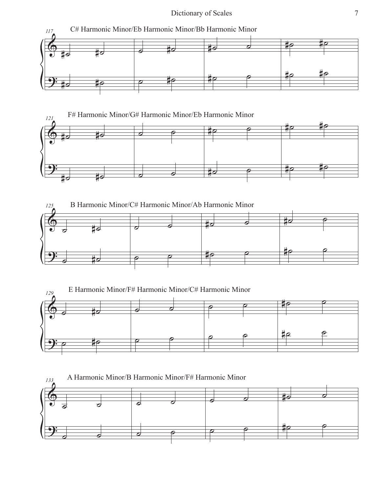







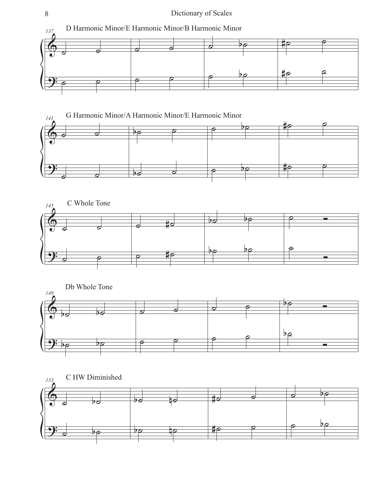







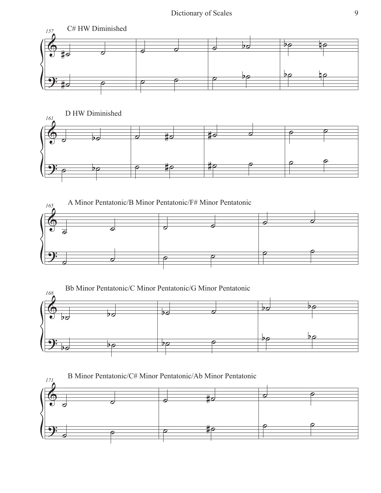







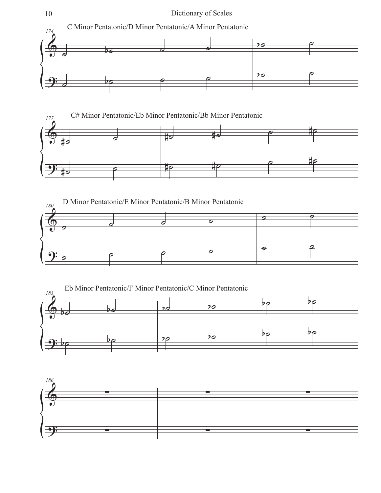